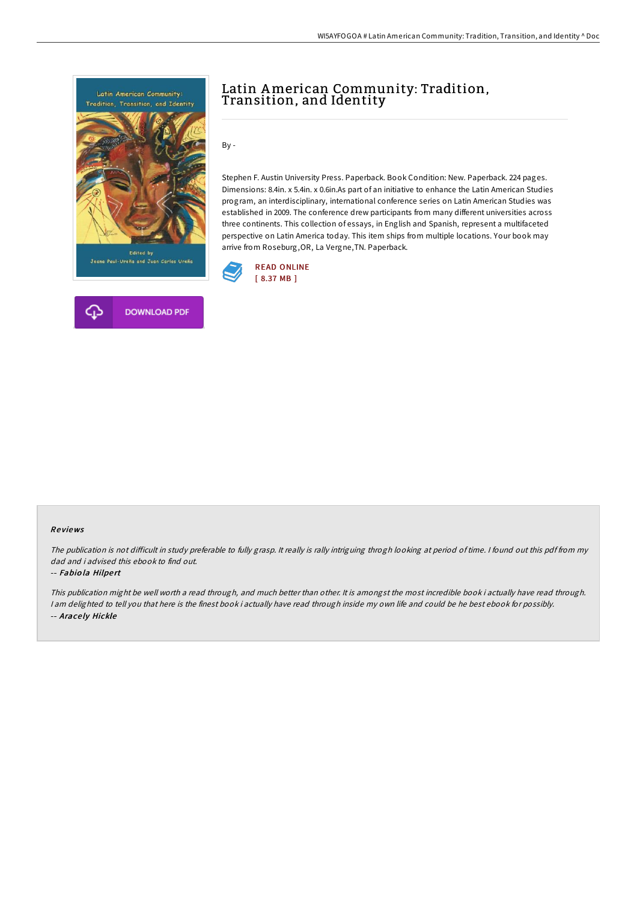



By -

Stephen F. Austin University Press. Paperback. Book Condition: New. Paperback. 224 pages. Dimensions: 8.4in. x 5.4in. x 0.6in.As part of an initiative to enhance the Latin American Studies program, an interdisciplinary, international conference series on Latin American Studies was established in 2009. The conference drew participants from many different universities across three continents. This collection of essays, in English and Spanish, represent a multifaceted perspective on Latin America today. This item ships from multiple locations. Your book may arrive from Roseburg,OR, La Vergne,TN. Paperback.



### Re views

The publication is not difficult in study preferable to fully grasp. It really is rally intriguing throgh looking at period of time. I found out this pdf from my dad and i advised this ebook to find out.

#### -- Fabiola Hilpert

This publication might be well worth <sup>a</sup> read through, and much better than other. It is amongst the most incredible book i actually have read through. <sup>I</sup> am delighted to tell you that here is the finest book i actually have read through inside my own life and could be he best ebook for possibly. -- Arace ly Hickle